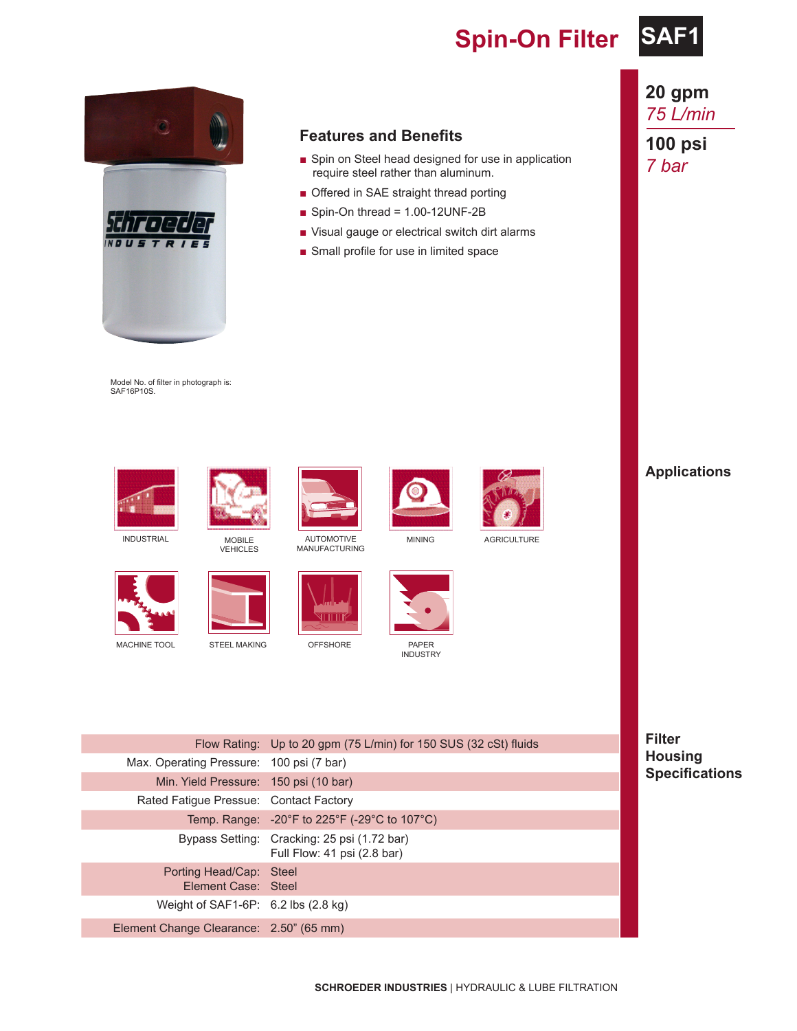### **Spin-On Filter SAF1**





#### **Features and Benefits**

- Spin on Steel head designed for use in application require steel rather than aluminum.
- Offered in SAE straight thread porting
- Spin-On thread = 1.00-12UNF-2B
- Visual gauge or electrical switch dirt alarms
- Small profile for use in limited space

Model No. of filter in photograph is: SAF16P10S.





VEHICLES



MANUFACTURING





MINING AGRICULTURE





INDUSTRY



### **20 gpm** *75 L/min*

**100 psi** *7 bar*

**Applications**

**Filter Housing Specifications**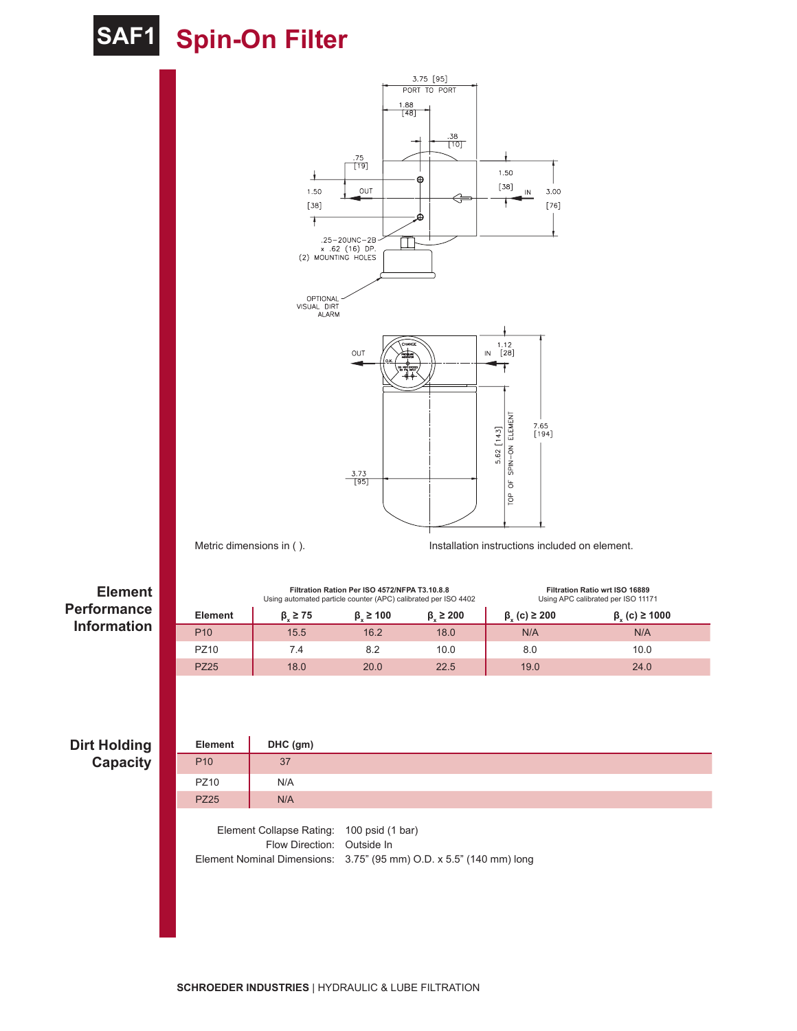## **SAF1 Spin-On Filter**



**Filtration Ration Per ISO 4572/NFPA T3.10.8.8** Using automated particle counter (APC) calibrated per ISO 4402 **Filtration Ratio wrt ISO 16889** Using APC calibrated per ISO 11171  $B$ *<b>Element*  $\beta_x \ge 75$  $\beta_x \ge 100$  $\beta_x \ge 200$  $\beta_x$  (c)  $\geq$  200  $β<sub>x</sub>$  (c) ≥ 1000 P10 | 15.5 16.2 18.0 | N/A N/A PZ10 | 7.4 8.2 10.0 | 8.0 10.0 PZ25 | 18.0 20.0 22.5 | 19.0 24.0

#### **Dirt Holding Capacity**

**Element Performance Information**

| Element                                                                 | $DHC$ (gm) |                                                                     |
|-------------------------------------------------------------------------|------------|---------------------------------------------------------------------|
| P <sub>10</sub>                                                         | 37         |                                                                     |
| <b>PZ10</b>                                                             | N/A        |                                                                     |
| <b>PZ25</b>                                                             | N/A        |                                                                     |
| Element Collapse Rating: 100 psid (1 bar)<br>Flow Direction: Outside In |            | Element Nominal Dimensions: 3.75" (95 mm) O.D. x 5.5" (140 mm) long |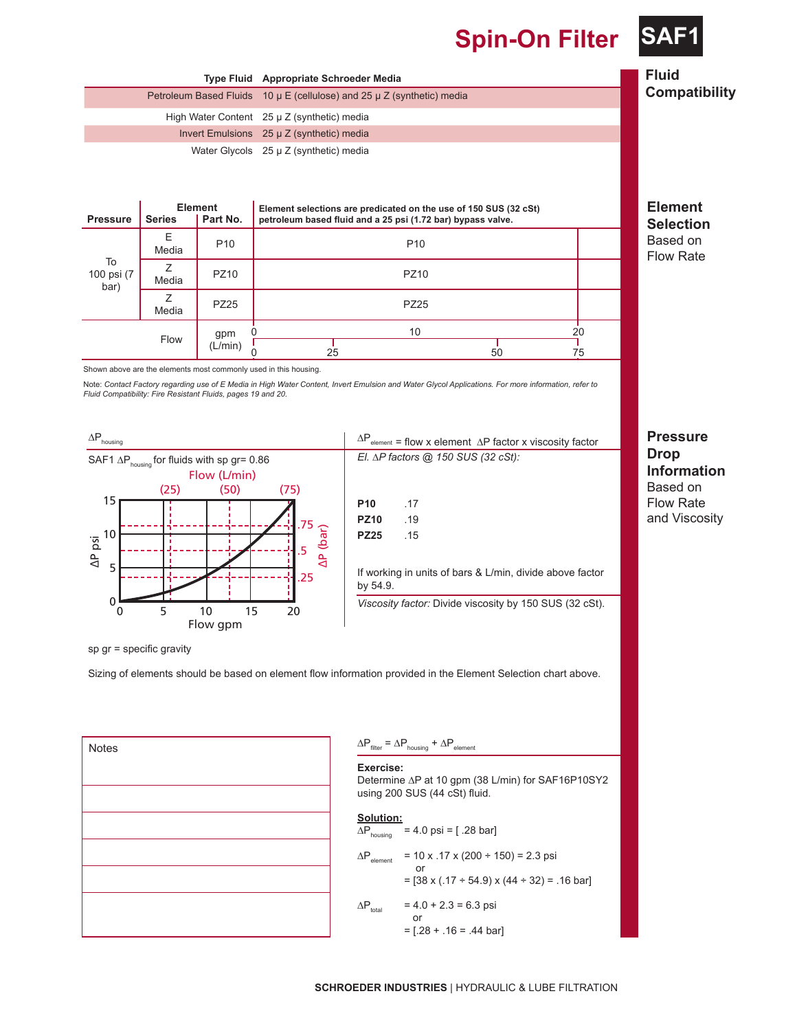**Spin-On Filter SA** 





*Fluid Compatibility: Fire Resistant Fluids, pages 19 and 20.*



| $\Delta P_{\text{element}}$ = flow x element $\Delta P$ factor x viscosity factor |
|-----------------------------------------------------------------------------------|
| El. $\Delta P$ factors @ 150 SUS (32 cSt):                                        |
|                                                                                   |
|                                                                                   |

| .17 |
|-----|
| .19 |
| .15 |
|     |

If working in units of bars & L/min, divide above factor by 54.9.

*Viscosity factor:* Divide viscosity by 150 SUS (32 cSt).

sp gr = specific gravity

Sizing of elements should be based on element flow information provided in the Element Selection chart above.

| <b>Notes</b><br>I |  |
|-------------------|--|
|                   |  |
|                   |  |
|                   |  |
|                   |  |
|                   |  |
|                   |  |
|                   |  |
|                   |  |

#### $\Delta P_{\text{filter}} = \Delta P_{\text{housing}} + \Delta P_{\text{element}}$

**Exercise:** 

Determine ∆P at 10 gpm (38 L/min) for SAF16P10SY2 using 200 SUS (44 cSt) fluid.

#### **Solution:**

 $\Delta P_{\text{housing}}$  = 4.0 psi = [.28 bar]

$$
\Delta P_{\text{element}} = 10 \times .17 \times (200 \div 150) = 2.3 \text{ psi}
$$
  
= [38 x (.17 ÷ 54.9) x (44 ÷ 32) = .16 bar]  

$$
\Delta P_{\text{total}} = 4.0 + 2.3 = 6.3 \text{ psi}
$$
  
or  
= [.28 + .16 = .44 bar]

**Pressure Drop Information** Based on Flow Rate and Viscosity